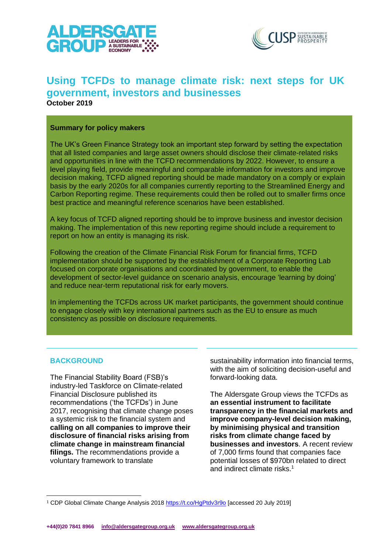



# **Using TCFDs to manage climate risk: next steps for UK government, investors and businesses**

**October 2019**

### **Summary for policy makers**

The UK's Green Finance Strategy took an important step forward by setting the expectation that all listed companies and large asset owners should disclose their climate-related risks and opportunities in line with the TCFD recommendations by 2022. However, to ensure a level playing field, provide meaningful and comparable information for investors and improve decision making, TCFD aligned reporting should be made mandatory on a comply or explain basis by the early 2020s for all companies currently reporting to the Streamlined Energy and Carbon Reporting regime. These requirements could then be rolled out to smaller firms once best practice and meaningful reference scenarios have been established.

A key focus of TCFD aligned reporting should be to improve business and investor decision making. The implementation of this new reporting regime should include a requirement to report on how an entity is managing its risk.

Following the creation of the Climate Financial Risk Forum for financial firms, TCFD implementation should be supported by the establishment of a Corporate Reporting Lab focused on corporate organisations and coordinated by government, to enable the development of sector-level guidance on scenario analysis, encourage 'learning by doing' and reduce near-term reputational risk for early movers.

In implementing the TCFDs across UK market participants, the government should continue to engage closely with key international partners such as the EU to ensure as much consistency as possible on disclosure requirements.

# **BACKGROUND**

The Financial Stability Board (FSB)'s industry-led Taskforce on Climate-related Financial Disclosure published its recommendations ('the TCFDs') in June 2017, recognising that climate change poses a systemic risk to the financial system and **calling on all companies to improve their disclosure of financial risks arising from climate change in mainstream financial filings.** The recommendations provide a voluntary framework to translate

sustainability information into financial terms, with the aim of soliciting decision-useful and forward-looking data.

The Aldersgate Group views the TCFDs as **an essential instrument to facilitate transparency in the financial markets and improve company-level decision making, by minimising physical and transition risks from climate change faced by businesses and investors**. A recent review of 7,000 firms found that companies face potential losses of \$970bn related to direct and indirect climate risks.1

<sup>&</sup>lt;sup>1</sup> CDP Global Climate Change Analysis 2018<https://t.co/HgPtdv3r9o> [accessed 20 July 2019]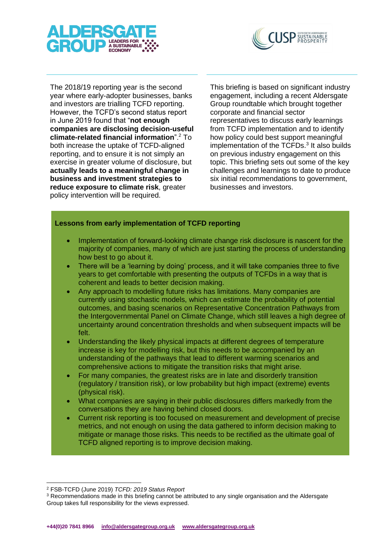



The 2018/19 reporting year is the second year where early-adopter businesses, banks and investors are trialling TCFD reporting. However, the TCFD's second status report in June 2019 found that "**not enough companies are disclosing decision-useful climate-related financial information**".<sup>2</sup> To both increase the uptake of TCFD-aligned reporting, and to ensure it is not simply an exercise in greater volume of disclosure, but **actually leads to a meaningful change in business and investment strategies to reduce exposure to climate risk**, greater policy intervention will be required.

This briefing is based on significant industry engagement, including a recent Aldersgate Group roundtable which brought together corporate and financial sector representatives to discuss early learnings from TCFD implementation and to identify how policy could best support meaningful implementation of the TCFDs.<sup>3</sup> It also builds on previous industry engagement on this topic. This briefing sets out some of the key challenges and learnings to date to produce six initial recommendations to government, businesses and investors.

### **Lessons from early implementation of TCFD reporting**

- Implementation of forward-looking climate change risk disclosure is nascent for the majority of companies, many of which are just starting the process of understanding how best to go about it.
- There will be a 'learning by doing' process, and it will take companies three to five years to get comfortable with presenting the outputs of TCFDs in a way that is coherent and leads to better decision making.
- Any approach to modelling future risks has limitations. Many companies are currently using stochastic models, which can estimate the probability of potential outcomes, and basing scenarios on Representative Concentration Pathways from the Intergovernmental Panel on Climate Change, which still leaves a high degree of uncertainty around concentration thresholds and when subsequent impacts will be felt.
- Understanding the likely physical impacts at different degrees of temperature increase is key for modelling risk, but this needs to be accompanied by an understanding of the pathways that lead to different warming scenarios and comprehensive actions to mitigate the transition risks that might arise.
- For many companies, the greatest risks are in late and disorderly transition (regulatory / transition risk), or low probability but high impact (extreme) events (physical risk).
- What companies are saying in their public disclosures differs markedly from the conversations they are having behind closed doors.
- Current risk reporting is too focused on measurement and development of precise metrics, and not enough on using the data gathered to inform decision making to mitigate or manage those risks. This needs to be rectified as the ultimate goal of TCFD aligned reporting is to improve decision making.

<sup>2</sup> FSB-TCFD (June 2019) *TCFD: 2019 Status Report*

<sup>&</sup>lt;sup>3</sup> Recommendations made in this briefing cannot be attributed to any single organisation and the Aldersgate Group takes full responsibility for the views expressed.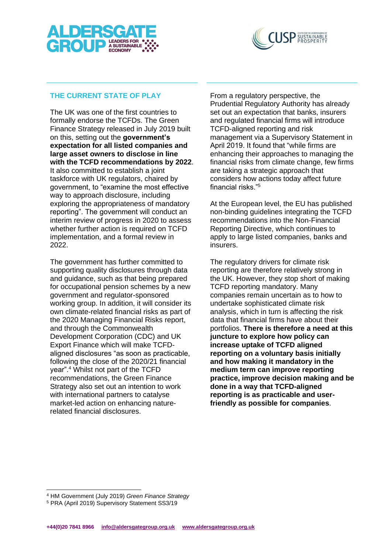



# **THE CURRENT STATE OF PLAY**

The UK was one of the first countries to formally endorse the TCFDs. The Green Finance Strategy released in July 2019 built on this, setting out the **government's expectation for all listed companies and large asset owners to disclose in line with the TCFD recommendations by 2022**. It also committed to establish a joint taskforce with UK regulators, chaired by government, to "examine the most effective way to approach disclosure, including exploring the appropriateness of mandatory reporting". The government will conduct an interim review of progress in 2020 to assess whether further action is required on TCFD implementation, and a formal review in 2022.

The government has further committed to supporting quality disclosures through data and guidance, such as that being prepared for occupational pension schemes by a new government and regulator-sponsored working group. In addition, it will consider its own climate-related financial risks as part of the 2020 Managing Financial Risks report, and through the Commonwealth Development Corporation (CDC) and UK Export Finance which will make TCFDaligned disclosures "as soon as practicable, following the close of the 2020/21 financial year".<sup>4</sup> Whilst not part of the TCFD recommendations, the Green Finance Strategy also set out an intention to work with international partners to catalyse market-led action on enhancing naturerelated financial disclosures.

From a regulatory perspective, the Prudential Regulatory Authority has already set out an expectation that banks, insurers and regulated financial firms will introduce TCFD-aligned reporting and risk management via a Supervisory Statement in April 2019. It found that "while firms are enhancing their approaches to managing the financial risks from climate change, few firms are taking a strategic approach that considers how actions today affect future financial risks."<sup>5</sup>

At the European level, the EU has published non-binding guidelines integrating the TCFD recommendations into the Non-Financial Reporting Directive, which continues to apply to large listed companies, banks and insurers.

The regulatory drivers for climate risk reporting are therefore relatively strong in the UK. However, they stop short of making TCFD reporting mandatory. Many companies remain uncertain as to how to undertake sophisticated climate risk analysis, which in turn is affecting the risk data that financial firms have about their portfolios. **There is therefore a need at this juncture to explore how policy can increase uptake of TCFD aligned reporting on a voluntary basis initially and how making it mandatory in the medium term can improve reporting practice, improve decision making and be done in a way that TCFD-aligned reporting is as practicable and userfriendly as possible for companies**.

<sup>4</sup> HM Government (July 2019) *Green Finance Strategy*

<sup>5</sup> PRA (April 2019) Supervisory Statement SS3/19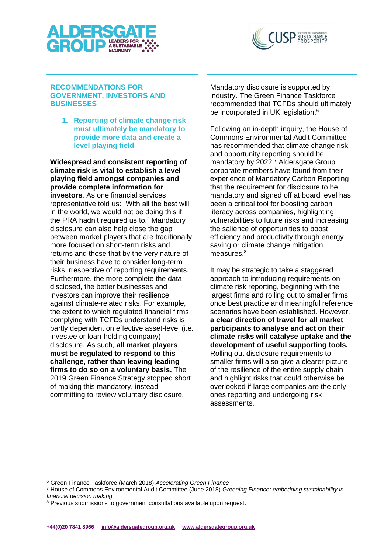



### **RECOMMENDATIONS FOR GOVERNMENT, INVESTORS AND BUSINESSES**

**1. Reporting of climate change risk must ultimately be mandatory to provide more data and create a level playing field**

**Widespread and consistent reporting of climate risk is vital to establish a level playing field amongst companies and provide complete information for investors**. As one financial services representative told us: "With all the best will in the world, we would not be doing this if the PRA hadn't required us to." Mandatory disclosure can also help close the gap between market players that are traditionally more focused on short-term risks and returns and those that by the very nature of their business have to consider long-term risks irrespective of reporting requirements. Furthermore, the more complete the data disclosed, the better businesses and investors can improve their resilience against climate-related risks. For example, the extent to which regulated financial firms complying with TCFDs understand risks is partly dependent on effective asset-level (i.e. investee or loan-holding company) disclosure. As such, **all market players must be regulated to respond to this challenge, rather than leaving leading firms to do so on a voluntary basis.** The 2019 Green Finance Strategy stopped short of making this mandatory, instead committing to review voluntary disclosure.

Mandatory disclosure is supported by industry. The Green Finance Taskforce recommended that TCFDs should ultimately be incorporated in UK legislation.<sup>6</sup>

Following an in-depth inquiry, the House of Commons Environmental Audit Committee has recommended that climate change risk and opportunity reporting should be mandatory by 2022. <sup>7</sup> Aldersgate Group corporate members have found from their experience of Mandatory Carbon Reporting that the requirement for disclosure to be mandatory and signed off at board level has been a critical tool for boosting carbon literacy across companies, highlighting vulnerabilities to future risks and increasing the salience of opportunities to boost efficiency and productivity through energy saving or climate change mitigation measures.<sup>8</sup>

It may be strategic to take a staggered approach to introducing requirements on climate risk reporting, beginning with the largest firms and rolling out to smaller firms once best practice and meaningful reference scenarios have been established. However, **a clear direction of travel for all market participants to analyse and act on their climate risks will catalyse uptake and the development of useful supporting tools.** Rolling out disclosure requirements to smaller firms will also give a clearer picture of the resilience of the entire supply chain and highlight risks that could otherwise be overlooked if large companies are the only ones reporting and undergoing risk assessments.

<sup>6</sup> Green Finance Taskforce (March 2018) *Accelerating Green Finance*

<sup>7</sup> House of Commons Environmental Audit Committee (June 2018) *Greening Finance: embedding sustainability in financial decision making*

<sup>&</sup>lt;sup>8</sup> Previous submissions to government consultations available upon request.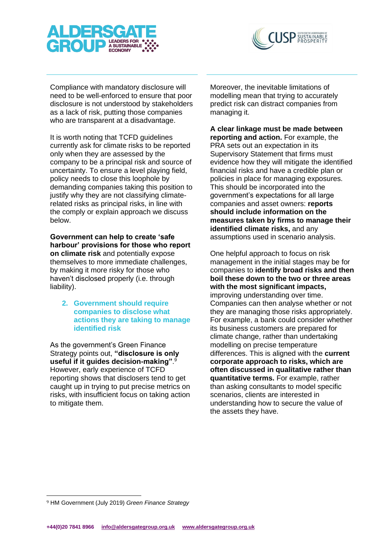



Compliance with mandatory disclosure will need to be well-enforced to ensure that poor disclosure is not understood by stakeholders as a lack of risk, putting those companies who are transparent at a disadvantage.

It is worth noting that TCFD guidelines currently ask for climate risks to be reported only when they are assessed by the company to be a principal risk and source of uncertainty. To ensure a level playing field, policy needs to close this loophole by demanding companies taking this position to justify why they are not classifying climaterelated risks as principal risks, in line with the comply or explain approach we discuss below.

**Government can help to create 'safe harbour' provisions for those who report on climate risk** and potentially expose themselves to more immediate challenges, by making it more risky for those who haven't disclosed properly (i.e. through liability).

### **2. Government should require companies to disclose what actions they are taking to manage identified risk**

As the government's Green Finance Strategy points out, **"disclosure is only useful if it guides decision-making"**. 9 However, early experience of TCFD reporting shows that disclosers tend to get caught up in trying to put precise metrics on risks, with insufficient focus on taking action to mitigate them.

Moreover, the inevitable limitations of modelling mean that trying to accurately predict risk can distract companies from managing it.

# **A clear linkage must be made between**

**reporting and action.** For example, the PRA sets out an expectation in its Supervisory Statement that firms must evidence how they will mitigate the identified financial risks and have a credible plan or policies in place for managing exposures. This should be incorporated into the government's expectations for all large companies and asset owners: **reports should include information on the measures taken by firms to manage their identified climate risks,** and any assumptions used in scenario analysis.

One helpful approach to focus on risk management in the initial stages may be for companies to **identify broad risks and then boil these down to the two or three areas with the most significant impacts,**  improving understanding over time. Companies can then analyse whether or not they are managing those risks appropriately. For example, a bank could consider whether its business customers are prepared for climate change, rather than undertaking modelling on precise temperature differences. This is aligned with the **current corporate approach to risks, which are often discussed in qualitative rather than quantitative terms.** For example, rather than asking consultants to model specific scenarios, clients are interested in understanding how to secure the value of the assets they have.

<sup>9</sup> HM Government (July 2019) *Green Finance Strategy*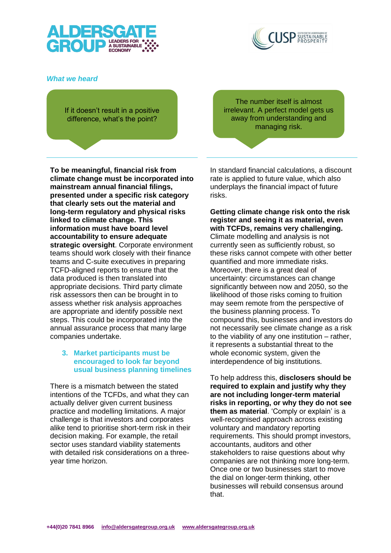



# *What we heard*

If it doesn't result in a positive difference, what's the point?

**To be meaningful, financial risk from climate change must be incorporated into mainstream annual financial filings, presented under a specific risk category that clearly sets out the material and long-term regulatory and physical risks linked to climate change. This information must have board level accountability to ensure adequate strategic oversight**. Corporate environment teams should work closely with their finance teams and C-suite executives in preparing TCFD-aligned reports to ensure that the data produced is then translated into appropriate decisions. Third party climate risk assessors then can be brought in to assess whether risk analysis approaches are appropriate and identify possible next steps. This could be incorporated into the annual assurance process that many large companies undertake.

### **3. Market participants must be encouraged to look far beyond usual business planning timelines**

There is a mismatch between the stated intentions of the TCFDs, and what they can actually deliver given current business practice and modelling limitations. A major challenge is that investors and corporates alike tend to prioritise short-term risk in their decision making. For example, the retail sector uses standard viability statements with detailed risk considerations on a threeyear time horizon.

The number itself is almost irrelevant. A perfect model gets us away from understanding and managing risk.

In standard financial calculations, a discount rate is applied to future value, which also underplays the financial impact of future risks.

**Getting climate change risk onto the risk register and seeing it as material, even with TCFDs, remains very challenging.**  Climate modelling and analysis is not currently seen as sufficiently robust, so these risks cannot compete with other better quantified and more immediate risks. Moreover, there is a great deal of uncertainty: circumstances can change significantly between now and 2050, so the likelihood of those risks coming to fruition may seem remote from the perspective of the business planning process. To compound this, businesses and investors do not necessarily see climate change as a risk to the viability of any one institution – rather, it represents a substantial threat to the whole economic system, given the interdependence of big institutions.

To help address this, **disclosers should be required to explain and justify why they are not including longer-term material risks in reporting, or why they do not see them as material**. 'Comply or explain' is a well-recognised approach across existing voluntary and mandatory reporting requirements. This should prompt investors, accountants, auditors and other stakeholders to raise questions about why companies are not thinking more long-term. Once one or two businesses start to move the dial on longer-term thinking, other businesses will rebuild consensus around that.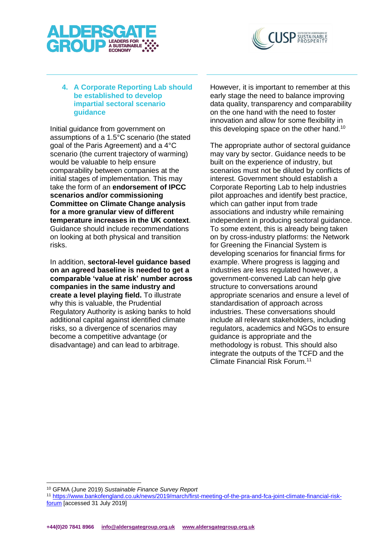



# **4. A Corporate Reporting Lab should be established to develop impartial sectoral scenario guidance**

Initial guidance from government on assumptions of a 1.5°C scenario (the stated goal of the Paris Agreement) and a 4°C scenario (the current trajectory of warming) would be valuable to help ensure comparability between companies at the initial stages of implementation. This may take the form of an **endorsement of IPCC scenarios and/or commissioning Committee on Climate Change analysis for a more granular view of different temperature increases in the UK context**. Guidance should include recommendations on looking at both physical and transition risks.

In addition, **sectoral-level guidance based on an agreed baseline is needed to get a comparable 'value at risk' number across companies in the same industry and create a level playing field.** To illustrate why this is valuable, the Prudential Regulatory Authority is asking banks to hold additional capital against identified climate risks, so a divergence of scenarios may become a competitive advantage (or disadvantage) and can lead to arbitrage.

However, it is important to remember at this early stage the need to balance improving data quality, transparency and comparability on the one hand with the need to foster innovation and allow for some flexibility in this developing space on the other hand.<sup>10</sup>

The appropriate author of sectoral guidance may vary by sector. Guidance needs to be built on the experience of industry, but scenarios must not be diluted by conflicts of interest. Government should establish a Corporate Reporting Lab to help industries pilot approaches and identify best practice, which can gather input from trade associations and industry while remaining independent in producing sectoral guidance. To some extent, this is already being taken on by cross-industry platforms: the Network for Greening the Financial System is developing scenarios for financial firms for example. Where progress is lagging and industries are less regulated however, a government-convened Lab can help give structure to conversations around appropriate scenarios and ensure a level of standardisation of approach across industries. These conversations should include all relevant stakeholders, including regulators, academics and NGOs to ensure guidance is appropriate and the methodology is robust. This should also integrate the outputs of the TCFD and the Climate Financial Risk Forum.<sup>11</sup>

<sup>10</sup> GFMA (June 2019) *Sustainable Finance Survey Report*

<sup>11</sup> [https://www.bankofengland.co.uk/news/2019/march/first-meeting-of-the-pra-and-fca-joint-climate-financial-risk](https://www.bankofengland.co.uk/news/2019/march/first-meeting-of-the-pra-and-fca-joint-climate-financial-risk-forum)[forum](https://www.bankofengland.co.uk/news/2019/march/first-meeting-of-the-pra-and-fca-joint-climate-financial-risk-forum) [accessed 31 July 2019]